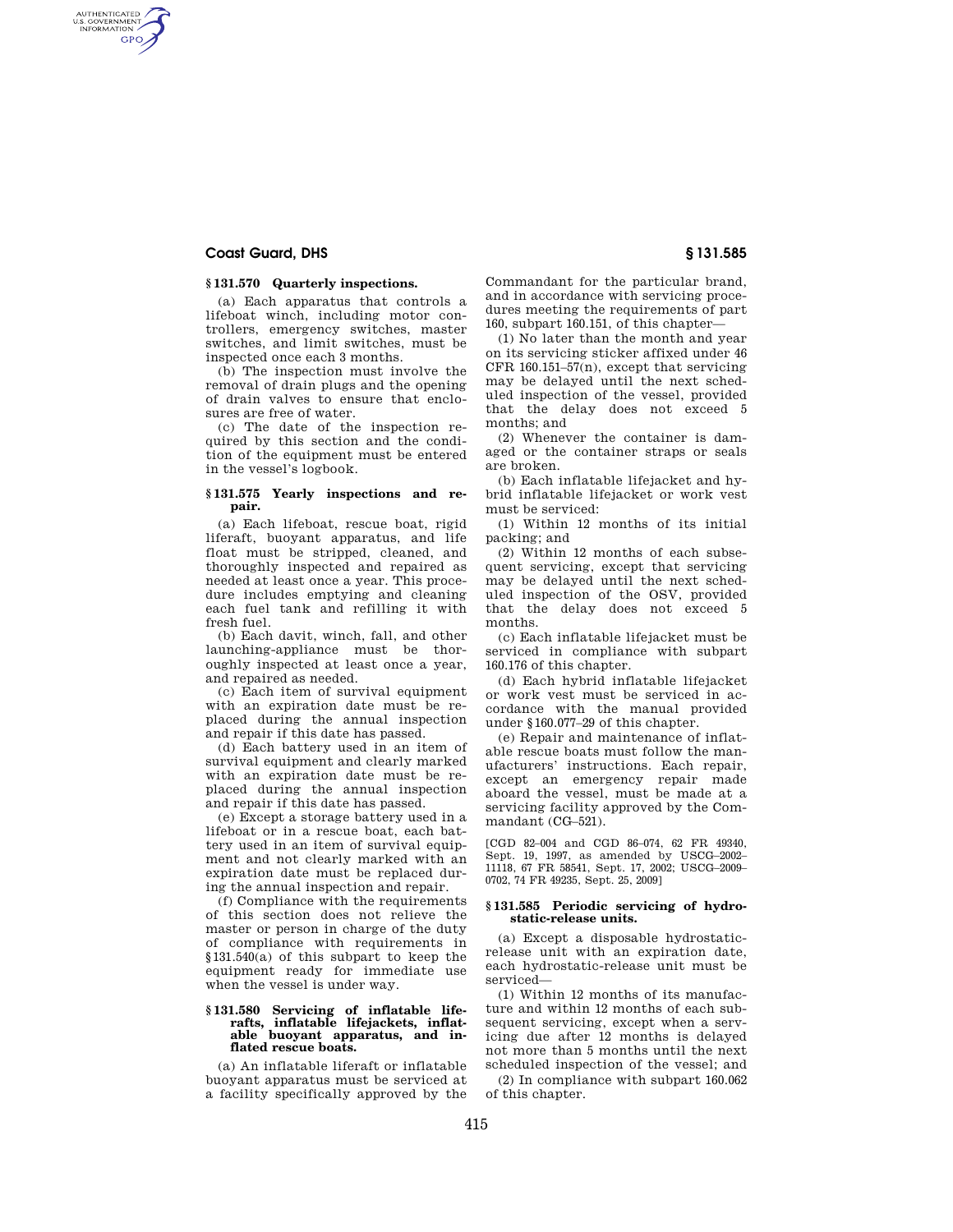## **Coast Guard, DHS § 131.585**

AUTHENTICATED<br>U.S. GOVERNMENT<br>INFORMATION **GPO** 

## **§ 131.570 Quarterly inspections.**

(a) Each apparatus that controls a lifeboat winch, including motor controllers, emergency switches, master switches, and limit switches, must be inspected once each 3 months.

(b) The inspection must involve the removal of drain plugs and the opening of drain valves to ensure that enclosures are free of water.

(c) The date of the inspection required by this section and the condition of the equipment must be entered in the vessel's logbook.

## **§ 131.575 Yearly inspections and repair.**

(a) Each lifeboat, rescue boat, rigid liferaft, buoyant apparatus, and life float must be stripped, cleaned, and thoroughly inspected and repaired as needed at least once a year. This procedure includes emptying and cleaning each fuel tank and refilling it with fresh fuel.

(b) Each davit, winch, fall, and other launching-appliance must be thoroughly inspected at least once a year, and repaired as needed.

(c) Each item of survival equipment with an expiration date must be replaced during the annual inspection and repair if this date has passed.

(d) Each battery used in an item of survival equipment and clearly marked with an expiration date must be replaced during the annual inspection and repair if this date has passed.

(e) Except a storage battery used in a lifeboat or in a rescue boat, each battery used in an item of survival equipment and not clearly marked with an expiration date must be replaced during the annual inspection and repair.

(f) Compliance with the requirements of this section does not relieve the master or person in charge of the duty of compliance with requirements in §131.540(a) of this subpart to keep the equipment ready for immediate use when the vessel is under way.

#### **§ 131.580 Servicing of inflatable liferafts, inflatable lifejackets, inflatable buoyant apparatus, and inflated rescue boats.**

(a) An inflatable liferaft or inflatable buoyant apparatus must be serviced at a facility specifically approved by the Commandant for the particular brand, and in accordance with servicing procedures meeting the requirements of part 160, subpart 160.151, of this chapter—

(1) No later than the month and year on its servicing sticker affixed under 46 CFR 160.151–57(n), except that servicing may be delayed until the next scheduled inspection of the vessel, provided that the delay does not exceed 5 months; and

(2) Whenever the container is damaged or the container straps or seals are broken.

(b) Each inflatable lifejacket and hybrid inflatable lifejacket or work vest must be serviced:

(1) Within 12 months of its initial packing; and

(2) Within 12 months of each subsequent servicing, except that servicing may be delayed until the next scheduled inspection of the OSV, provided that the delay does not exceed 5 months.

(c) Each inflatable lifejacket must be serviced in compliance with subpart 160.176 of this chapter.

(d) Each hybrid inflatable lifejacket or work vest must be serviced in accordance with the manual provided under §160.077–29 of this chapter.

(e) Repair and maintenance of inflatable rescue boats must follow the manufacturers' instructions. Each repair, except an emergency repair made aboard the vessel, must be made at a servicing facility approved by the Commandant (CG–521).

[CGD 82–004 and CGD 86–074, 62 FR 49340, Sept. 19, 1997, as amended by USCG–2002– 11118, 67 FR 58541, Sept. 17, 2002; USCG–2009– 0702, 74 FR 49235, Sept. 25, 2009]

#### **§ 131.585 Periodic servicing of hydrostatic-release units.**

(a) Except a disposable hydrostaticrelease unit with an expiration date, each hydrostatic-release unit must be serviced—

(1) Within 12 months of its manufacture and within 12 months of each subsequent servicing, except when a servicing due after 12 months is delayed not more than 5 months until the next scheduled inspection of the vessel; and (2) In compliance with subpart 160.062 of this chapter.